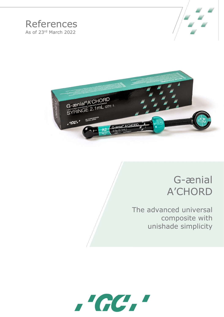# **References** As of 23rd March 2022





# G-ænial **A'CHORD**

The advanced universal composite with unishade simplicity

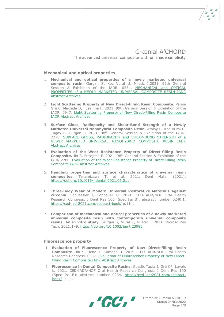The advanced universal composite with unishade simplicity

## **Mechanical and optical properties**

- 1. **Mechanical and optical properties of a newly marketed universal composite resin.** Gurgan S, Koc Vural U, Miletic I.2021. 99th General Session & Exhibition of the IADR. 0554. [MECHANICAL and OPTICAL](https://iadr.abstractarchives.com/abstract/21iags-3569331/mechanical-and-optical-properties-of-a-newly-marketed-universal-composite-resin)  [PROPERTIES of a NEWLY MARKETED UNIVERSAL COMPOSITE RESIN IADR](https://iadr.abstractarchives.com/abstract/21iags-3569331/mechanical-and-optical-properties-of-a-newly-marketed-universal-composite-resin)  [Abstract Archives](https://iadr.abstractarchives.com/abstract/21iags-3569331/mechanical-and-optical-properties-of-a-newly-marketed-universal-composite-resin)
- 2. **Light Scattering Property of New Direct-filling Resin Composite.** Parise Gré C, Machida D, Fusejima F. 2021. 99th General Session & Exhibition of the IADR. 0947. [Light Scattering Property of New Direct-Filling Resin Composite](https://iadr.abstractarchives.com/abstract/21iags-3570987/light-scattering-property-of-new-direct-filling-resin-composite)  [IADR Abstract Archives](https://iadr.abstractarchives.com/abstract/21iags-3570987/light-scattering-property-of-new-direct-filling-resin-composite)
- 3. **Surface Gloss, Radiopacity and Shear-Bond Strength of a Newly Marketed Universal Nanohybrid Composite Resin.** Atalay C, Koc Vural U, Tugay B, Gurgan S. 2021. 98<sup>th</sup> General Session & Exhibition of the IADR. 2278. [SURFACE GLOSS, RADIOPACITY and SHEAR-BOND STRENGTH of a](https://iadr.abstractarchives.com/abstract/21iags-3570162/surface-gloss-radiopacity-and-shear-bond-strength-of-a-newly-marketed-universal-nanohybrid-composite-resin)  [NEWLY MARKETED UNIVERSAL NANOHYBRID COMPOSITE](https://iadr.abstractarchives.com/abstract/21iags-3570162/surface-gloss-radiopacity-and-shear-bond-strength-of-a-newly-marketed-universal-nanohybrid-composite-resin) RESIN IADR [Abstract Archives](https://iadr.abstractarchives.com/abstract/21iags-3570162/surface-gloss-radiopacity-and-shear-bond-strength-of-a-newly-marketed-universal-nanohybrid-composite-resin)
- 4. **Evaluation of the Wear Resistance Property of Direct-filling Resin Composite.** Jin S, Fusejima F. 2021. 98th General Session & Exhibition of the IADR.2280. [Evaluation of the Wear Resistance Property of Direct-Filling Resin](https://iadr.abstractarchives.com/abstract/21iags-3571125/evaluation-of-the-wear-resistance-property-of-direct-filling-resin-composite)  [Composite IADR Abstract Archives](https://iadr.abstractarchives.com/abstract/21iags-3571125/evaluation-of-the-wear-resistance-property-of-direct-filling-resin-composite)
- 5. **Handling properties and surface characteristics of universal resin composites.** Takamizawa T, et al. 2021. Dent Mater (2021), <https://doi.org/10.1016/j.dental.2021.06.011>
- 6. **Three-Body Wear of Modern Universal Restorative Materials Against Zirconia.** Schuessler J, Lohbauer U. 2021. CED-IADR/NOF Oral Health Research Congress. J Dent Res 100 (Spec Iss B): abstract number 0240.1. <https://ced-iadr2021.com/abstract-book/> p.114.
- 7. **Comparison of mechanical and optical properties of a newly marketed universal composite resin with contemporary universal composite resins: An in vitro study.** Gurgan S, Vural K, Miletic I. 2021. Microsc Res Tech. 2021;1–9. <https://doi.org/10.1002/jemt.23985>

#### **Fluorescence property**

- 1. **Evaluation of Fluorescence Property of New Direct-filling Resin Composite**. Jin S, Ueno T, Kumagai T. 2019. CED-IADR/NOF Oral Health Research Congress. 0337. Evaluation [of Fluorescence Property of New Direct](https://iadr.abstractarchives.com/abstract/ced-iadr2019-3222253/evaluation-of-fluorescence-property-of-new-direct-filling-resin-composite)filling Resin Composite [IADR Abstract Archives](https://iadr.abstractarchives.com/abstract/ced-iadr2019-3222253/evaluation-of-fluorescence-property-of-new-direct-filling-resin-composite)
- 2. **Fluorescence in Dental Composite Resins.** Guadix Tapia J, Gré CP, Lavoix L. 2021. CED-IADR/NOF Oral Health Research Congress. J Dent Res 100 (Spec Iss B): abstract number 0234. [https://ced-iadr2021.com/abstract](https://ced-iadr2021.com/abstract-book/)[book/](https://ced-iadr2021.com/abstract-book/) p.111.